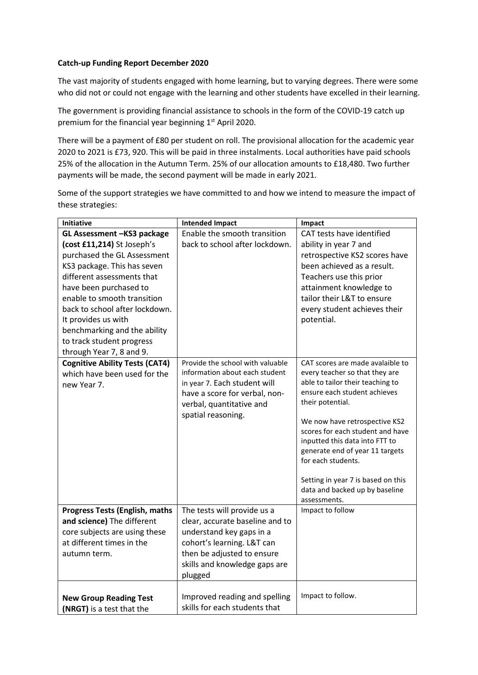## **Catch-up Funding Report December 2020**

The vast majority of students engaged with home learning, but to varying degrees. There were some who did not or could not engage with the learning and other students have excelled in their learning.

The government is providing financial assistance to schools in the form of the COVID-19 catch up premium for the financial year beginning 1<sup>st</sup> April 2020.

There will be a payment of £80 per student on roll. The provisional allocation for the academic year 2020 to 2021 is £73, 920. This will be paid in three instalments. Local authorities have paid schools 25% of the allocation in the Autumn Term. 25% of our allocation amounts to £18,480. Two further payments will be made, the second payment will be made in early 2021.

Some of the support strategies we have committed to and how we intend to measure the impact of these strategies:

| Initiative                            | <b>Intended Impact</b>           | Impact                                                            |
|---------------------------------------|----------------------------------|-------------------------------------------------------------------|
| GL Assessment -KS3 package            | Enable the smooth transition     | CAT tests have identified                                         |
| (cost £11,214) St Joseph's            | back to school after lockdown.   | ability in year 7 and                                             |
| purchased the GL Assessment           |                                  | retrospective KS2 scores have                                     |
| KS3 package. This has seven           |                                  | been achieved as a result.                                        |
| different assessments that            |                                  | Teachers use this prior                                           |
| have been purchased to                |                                  | attainment knowledge to                                           |
| enable to smooth transition           |                                  | tailor their L&T to ensure                                        |
| back to school after lockdown.        |                                  | every student achieves their                                      |
| It provides us with                   |                                  | potential.                                                        |
| benchmarking and the ability          |                                  |                                                                   |
| to track student progress             |                                  |                                                                   |
| through Year 7, 8 and 9.              |                                  |                                                                   |
| <b>Cognitive Ability Tests (CAT4)</b> | Provide the school with valuable | CAT scores are made avalaible to                                  |
| which have been used for the          | information about each student   | every teacher so that they are                                    |
| new Year 7.                           | in year 7. Each student will     | able to tailor their teaching to                                  |
|                                       | have a score for verbal, non-    | ensure each student achieves                                      |
|                                       | verbal, quantitative and         | their potential.                                                  |
|                                       | spatial reasoning.               |                                                                   |
|                                       |                                  | We now have retrospective KS2                                     |
|                                       |                                  | scores for each student and have                                  |
|                                       |                                  | inputted this data into FTT to<br>generate end of year 11 targets |
|                                       |                                  | for each students.                                                |
|                                       |                                  |                                                                   |
|                                       |                                  | Setting in year 7 is based on this                                |
|                                       |                                  | data and backed up by baseline                                    |
|                                       |                                  | assessments.                                                      |
| <b>Progress Tests (English, maths</b> | The tests will provide us a      | Impact to follow                                                  |
| and science) The different            | clear, accurate baseline and to  |                                                                   |
| core subjects are using these         | understand key gaps in a         |                                                                   |
| at different times in the             | cohort's learning. L&T can       |                                                                   |
| autumn term.                          | then be adjusted to ensure       |                                                                   |
|                                       | skills and knowledge gaps are    |                                                                   |
|                                       | plugged                          |                                                                   |
|                                       |                                  |                                                                   |
| <b>New Group Reading Test</b>         | Improved reading and spelling    | Impact to follow.                                                 |
| (NRGT) is a test that the             | skills for each students that    |                                                                   |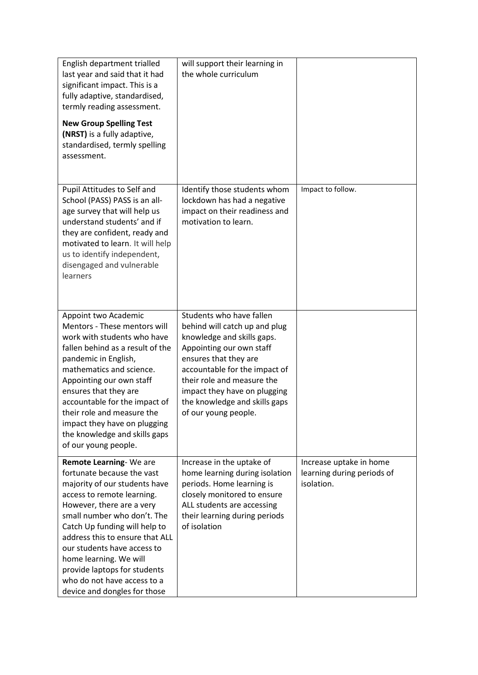| English department trialled<br>last year and said that it had<br>significant impact. This is a<br>fully adaptive, standardised,<br>termly reading assessment.<br><b>New Group Spelling Test</b><br>(NRST) is a fully adaptive,<br>standardised, termly spelling<br>assessment.                                                                                                                              | will support their learning in<br>the whole curriculum                                                                                                                                                                                                                                               |                                                                     |
|-------------------------------------------------------------------------------------------------------------------------------------------------------------------------------------------------------------------------------------------------------------------------------------------------------------------------------------------------------------------------------------------------------------|------------------------------------------------------------------------------------------------------------------------------------------------------------------------------------------------------------------------------------------------------------------------------------------------------|---------------------------------------------------------------------|
| Pupil Attitudes to Self and<br>School (PASS) PASS is an all-<br>age survey that will help us<br>understand students' and if<br>they are confident, ready and<br>motivated to learn. It will help<br>us to identify independent,<br>disengaged and vulnerable<br>learners                                                                                                                                    | Identify those students whom<br>lockdown has had a negative<br>impact on their readiness and<br>motivation to learn.                                                                                                                                                                                 | Impact to follow.                                                   |
| Appoint two Academic<br>Mentors - These mentors will<br>work with students who have<br>fallen behind as a result of the<br>pandemic in English,<br>mathematics and science.<br>Appointing our own staff<br>ensures that they are<br>accountable for the impact of<br>their role and measure the<br>impact they have on plugging<br>the knowledge and skills gaps<br>of our young people.                    | Students who have fallen<br>behind will catch up and plug<br>knowledge and skills gaps.<br>Appointing our own staff<br>ensures that they are<br>accountable for the impact of<br>their role and measure the<br>impact they have on plugging<br>the knowledge and skills gaps<br>of our young people. |                                                                     |
| Remote Learning-We are<br>fortunate because the vast<br>majority of our students have<br>access to remote learning.<br>However, there are a very<br>small number who don't. The<br>Catch Up funding will help to<br>address this to ensure that ALL<br>our students have access to<br>home learning. We will<br>provide laptops for students<br>who do not have access to a<br>device and dongles for those | Increase in the uptake of<br>home learning during isolation<br>periods. Home learning is<br>closely monitored to ensure<br>ALL students are accessing<br>their learning during periods<br>of isolation                                                                                               | Increase uptake in home<br>learning during periods of<br>isolation. |